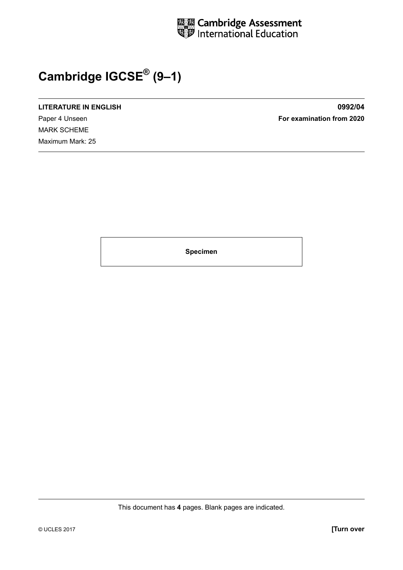

## **Cambridge IGCSE® (9–1)**

**LITERATURE IN ENGLISH 0992/04**

MARK SCHEME Maximum Mark: 25

Paper 4 Unseen **For examination from 2020**

**Specimen**

This document has **4** pages. Blank pages are indicated.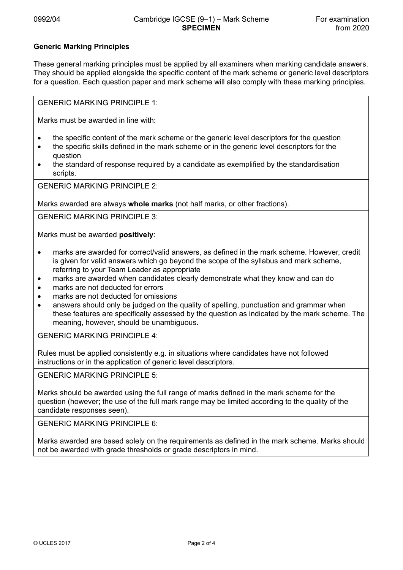## **Generic Marking Principles**

These general marking principles must be applied by all examiners when marking candidate answers. They should be applied alongside the specific content of the mark scheme or generic level descriptors for a question. Each question paper and mark scheme will also comply with these marking principles.

GENERIC MARKING PRINCIPLE 1:

Marks must be awarded in line with:

- the specific content of the mark scheme or the generic level descriptors for the question
- the specific skills defined in the mark scheme or in the generic level descriptors for the question
- the standard of response required by a candidate as exemplified by the standardisation scripts.

GENERIC MARKING PRINCIPLE 2:

Marks awarded are always **whole marks** (not half marks, or other fractions).

GENERIC MARKING PRINCIPLE 3:

Marks must be awarded **positively**:

- marks are awarded for correct/valid answers, as defined in the mark scheme. However, credit is given for valid answers which go beyond the scope of the syllabus and mark scheme, referring to your Team Leader as appropriate
- marks are awarded when candidates clearly demonstrate what they know and can do
- marks are not deducted for errors
- marks are not deducted for omissions
- answers should only be judged on the quality of spelling, punctuation and grammar when these features are specifically assessed by the question as indicated by the mark scheme. The meaning, however, should be unambiguous.

GENERIC MARKING PRINCIPLE 4:

Rules must be applied consistently e.g. in situations where candidates have not followed instructions or in the application of generic level descriptors.

GENERIC MARKING PRINCIPLE 5:

Marks should be awarded using the full range of marks defined in the mark scheme for the question (however; the use of the full mark range may be limited according to the quality of the candidate responses seen).

GENERIC MARKING PRINCIPLE 6:

Marks awarded are based solely on the requirements as defined in the mark scheme. Marks should not be awarded with grade thresholds or grade descriptors in mind.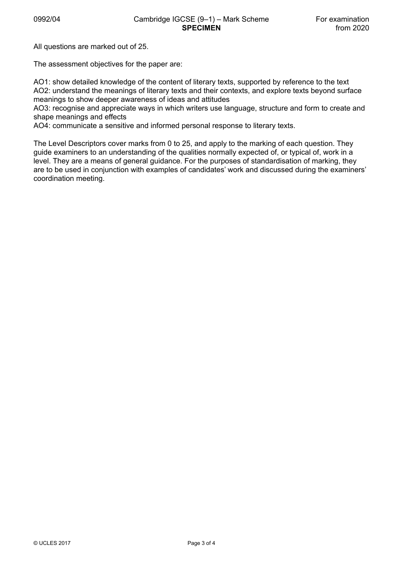All questions are marked out of 25.

The assessment objectives for the paper are:

AO1: show detailed knowledge of the content of literary texts, supported by reference to the text AO2: understand the meanings of literary texts and their contexts, and explore texts beyond surface meanings to show deeper awareness of ideas and attitudes

AO3: recognise and appreciate ways in which writers use language, structure and form to create and shape meanings and effects

AO4: communicate a sensitive and informed personal response to literary texts.

The Level Descriptors cover marks from 0 to 25, and apply to the marking of each question. They guide examiners to an understanding of the qualities normally expected of, or typical of, work in a level. They are a means of general guidance. For the purposes of standardisation of marking, they are to be used in conjunction with examples of candidates' work and discussed during the examiners' coordination meeting.